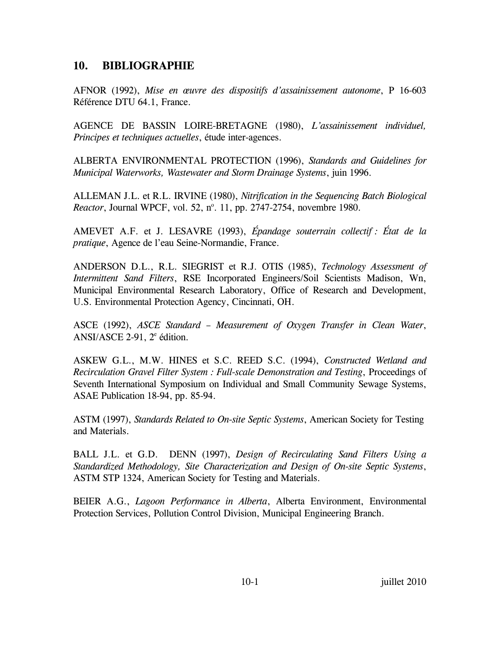## **10. BIBLIOGRAPHIE**

AFNOR (1992), *Mise en œuvre des dispositifs d'assainissement autonome*, P 16-603 Référence DTU 64.1, France.

AGENCE DE BASSIN LOIRE-BRETAGNE (1980), *L'assainissement individuel, Principes et techniques actuelles*, étude inter-agences.

ALBERTA ENVIRONMENTAL PROTECTION (1996), *Standards and Guidelines for Municipal Waterworks, Wastewater and Storm Drainage Systems*, juin 1996.

ALLEMAN J.L. et R.L. IRVINE (1980), *Nitrification in the Sequencing Batch Biological Reactor*, Journal WPCF, vol. 52, n°. 11, pp. 2747-2754, novembre 1980.

AMEVET A.F. et J. LESAVRE (1993), *Épandage souterrain collectif : État de la pratique*, Agence de l'eau Seine-Normandie, France.

ANDERSON D.L., R.L. SIEGRIST et R.J. OTIS (1985), *Technology Assessment of Intermittent Sand Filters*, RSE Incorporated Engineers/Soil Scientists Madison, Wn, Municipal Environmental Research Laboratory, Office of Research and Development, U.S. Environmental Protection Agency, Cincinnati, OH.

ASCE (1992), *ASCE Standard – Measurement of Oxygen Transfer in Clean Water*, ANSI/ASCE 2-91,  $2^e$  édition.

ASKEW G.L., M.W. HINES et S.C. REED S.C. (1994), *Constructed Wetland and Recirculation Gravel Filter System : Full-scale Demonstration and Testing*, Proceedings of Seventh International Symposium on Individual and Small Community Sewage Systems, ASAE Publication 18-94, pp. 85-94.

ASTM (1997), *Standards Related to On-site Septic Systems*, American Society for Testing and Materials.

BALL J.L. et G.D. DENN (1997), *Design of Recirculating Sand Filters Using a Standardized Methodology, Site Characterization and Design of On-site Septic Systems*, ASTM STP 1324, American Society for Testing and Materials.

BEIER A.G., *Lagoon Performance in Alberta*, Alberta Environment, Environmental Protection Services, Pollution Control Division, Municipal Engineering Branch.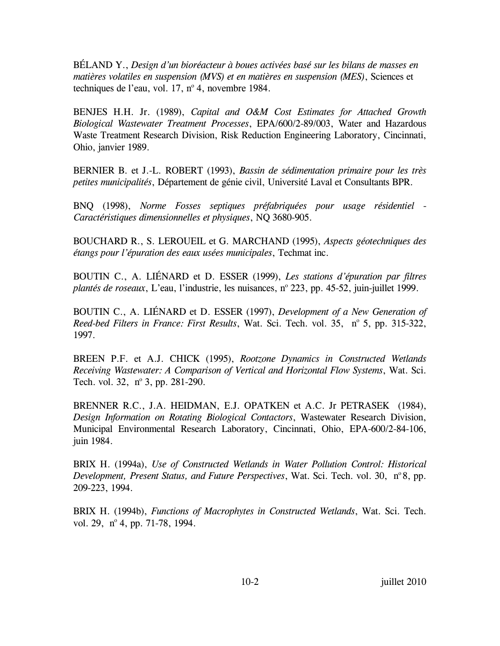BÉLAND Y., *Design d'un bioréacteur à boues activées basé sur les bilans de masses en matières volatiles en suspension (MVS) et en matières en suspension (MES)*, Sciences et techniques de l'eau, vol.  $17$ , n° 4, novembre 1984.

BENJES H.H. Jr. (1989), *Capital and O&M Cost Estimates for Attached Growth Biological Wastewater Treatment Processes*, EPA/600/2-89/003, Water and Hazardous Waste Treatment Research Division, Risk Reduction Engineering Laboratory, Cincinnati, Ohio, janvier 1989.

BERNIER B. et J.-L. ROBERT (1993), *Bassin de sédimentation primaire pour les très petites municipalités*, Département de génie civil, Université Laval et Consultants BPR.

BNQ (1998), *Norme Fosses septiques préfabriquées pour usage résidentiel - Caractéristiques dimensionnelles et physiques*, NQ 3680-905.

BOUCHARD R., S. LEROUEIL et G. MARCHAND (1995), *Aspects géotechniques des étangs pour l'épuration des eaux usées municipales*, Techmat inc.

BOUTIN C., A. LIÉNARD et D. ESSER (1999), *Les stations d'épuration par filtres*  plantés de roseaux, L'eau, l'industrie, les nuisances, nº 223, pp. 45-52, juin-juillet 1999.

BOUTIN C., A. LIÉNARD et D. ESSER (1997), *Development of a New Generation of*  Reed-bed Filters in France: First Results, Wat. Sci. Tech. vol. 35, nº 5, pp. 315-322, 1997.

BREEN P.F. et A.J. CHICK (1995), *Rootzone Dynamics in Constructed Wetlands Receiving Wastewater: A Comparison of Vertical and Horizontal Flow Systems*, Wat. Sci. Tech. vol. 32,  $n^{\circ}$  3, pp. 281-290.

BRENNER R.C., J.A. HEIDMAN, E.J. OPATKEN et A.C. Jr PETRASEK (1984), *Design Information on Rotating Biological Contactors*, Wastewater Research Division, Municipal Environmental Research Laboratory, Cincinnati, Ohio, EPA-600/2-84-106, juin 1984.

BRIX H. (1994a), *Use of Constructed Wetlands in Water Pollution Control: Historical Development, Present Status, and Future Perspectives, Wat. Sci. Tech. vol. 30, n°8, pp.* 209-223, 1994.

BRIX H. (1994b), *Functions of Macrophytes in Constructed Wetlands*, Wat. Sci. Tech. vol. 29, nº 4, pp. 71-78, 1994.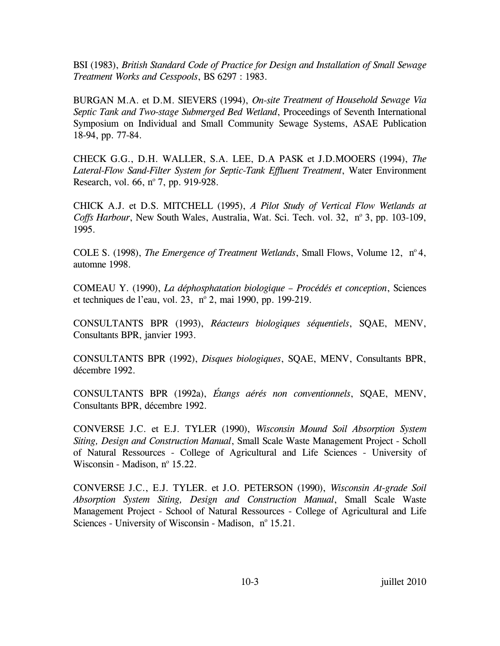BSI (1983), *British Standard Code of Practice for Design and Installation of Small Sewage Treatment Works and Cesspools*, BS 6297 : 1983.

BURGAN M.A. et D.M. SIEVERS (1994), *On-site Treatment of Household Sewage Via Septic Tank and Two-stage Submerged Bed Wetland*, Proceedings of Seventh International Symposium on Individual and Small Community Sewage Systems, ASAE Publication 18-94, pp. 77-84.

CHECK G.G., D.H. WALLER, S.A. LEE, D.A PASK et J.D.MOOERS (1994), *The Lateral-Flow Sand-Filter System for Septic-Tank Effluent Treatment*, Water Environment Research, vol. 66, nº 7, pp. 919-928.

CHICK A.J. et D.S. MITCHELL (1995), *A Pilot Study of Vertical Flow Wetlands at*  Coffs Harbour, New South Wales, Australia, Wat. Sci. Tech. vol. 32, nº 3, pp. 103-109, 1995.

COLE S. (1998), *The Emergence of Treatment Wetlands*, Small Flows, Volume 12, n<sup>o</sup> 4, automne 1998.

COMEAU Y. (1990), *La déphosphatation biologique – Procédés et conception*, Sciences et techniques de l'eau, vol. 23, nº 2, mai 1990, pp. 199-219.

CONSULTANTS BPR (1993), *Réacteurs biologiques séquentiels*, SQAE, MENV, Consultants BPR, janvier 1993.

CONSULTANTS BPR (1992), *Disques biologiques*, SQAE, MENV, Consultants BPR, décembre 1992.

CONSULTANTS BPR (1992a), *Étangs aérés non conventionnels*, SQAE, MENV, Consultants BPR, décembre 1992.

CONVERSE J.C. et E.J. TYLER (1990), *Wisconsin Mound Soil Absorption System Siting, Design and Construction Manual*, Small Scale Waste Management Project - Scholl of Natural Ressources - College of Agricultural and Life Sciences - University of Wisconsin - Madison,  $n^{\circ}$  15.22.

CONVERSE J.C., E.J. TYLER. et J.O. PETERSON (1990), *Wisconsin At-grade Soil Absorption System Siting, Design and Construction Manual*, Small Scale Waste Management Project - School of Natural Ressources - College of Agricultural and Life Sciences - University of Wisconsin - Madison, nº 15.21.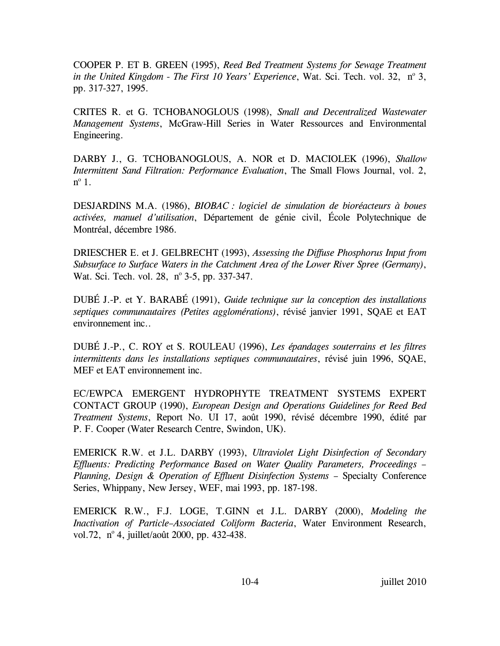COOPER P. ET B. GREEN (1995), *Reed Bed Treatment Systems for Sewage Treatment*  in the United Kingdom - The First 10 Years' Experience, Wat. Sci. Tech. vol. 32, nº 3, pp. 317-327, 1995.

CRITES R. et G. TCHOBANOGLOUS (1998), *Small and Decentralized Wastewater Management Systems*, McGraw-Hill Series in Water Ressources and Environmental Engineering.

DARBY J., G. TCHOBANOGLOUS, A. NOR et D. MACIOLEK (1996), *Shallow Intermittent Sand Filtration: Performance Evaluation*, The Small Flows Journal, vol. 2,  $n^{\circ}$  1.

DESJARDINS M.A. (1986), *BIOBAC : logiciel de simulation de bioréacteurs à boues activées, manuel d'utilisation*, Département de génie civil, École Polytechnique de Montréal, décembre 1986.

DRIESCHER E. et J. GELBRECHT (1993), *Assessing the Diffuse Phosphorus Input from Subsurface to Surface Waters in the Catchment Area of the Lower River Spree (Germany)*, Wat. Sci. Tech. vol. 28, nº 3-5, pp. 337-347.

DUBÉ J.-P. et Y. BARABÉ (1991), *Guide technique sur la conception des installations septiques communautaires (Petites agglomérations)*, révisé janvier 1991, SQAE et EAT environnement inc..

DUBÉ J.-P., C. ROY et S. ROULEAU (1996), *Les épandages souterrains et les filtres intermittents dans les installations septiques communautaires*, révisé juin 1996, SQAE, MEF et EAT environnement inc.

EC/EWPCA EMERGENT HYDROPHYTE TREATMENT SYSTEMS EXPERT CONTACT GROUP (1990), *European Design and Operations Guidelines for Reed Bed Treatment Systems*, Report No. UI 17, août 1990, révisé décembre 1990, édité par P. F. Cooper (Water Research Centre, Swindon, UK).

EMERICK R.W. et J.L. DARBY (1993), *Ultraviolet Light Disinfection of Secondary Effluents: Predicting Performance Based on Water Quality Parameters, Proceedings – Planning, Design & Operation of Effluent Disinfection Systems - Specialty Conference* Series, Whippany, New Jersey, WEF, mai 1993, pp. 187-198.

EMERICK R.W., F.J. LOGE, T.GINN et J.L. DARBY (2000), *Modeling the Inactivation of Particle–Associated Coliform Bacteria*, Water Environment Research, vol.72, nº 4, juillet/août 2000, pp. 432-438.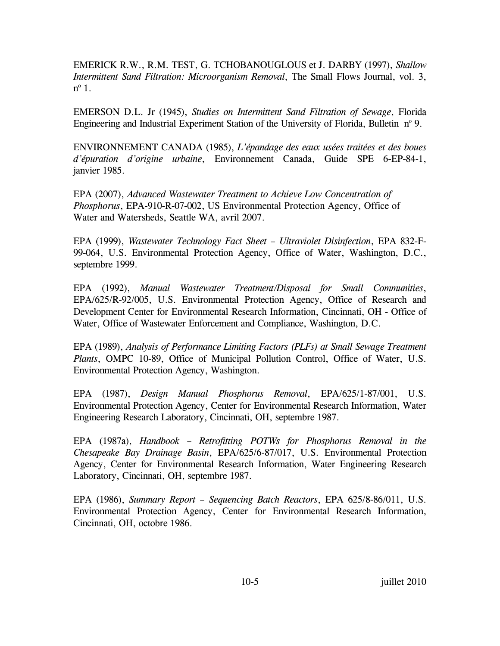EMERICK R.W., R.M. TEST, G. TCHOBANOUGLOUS et J. DARBY (1997), *Shallow Intermittent Sand Filtration: Microorganism Removal*, The Small Flows Journal, vol. 3,  $n^{\circ}$  1.

EMERSON D.L. Jr (1945), *Studies on Intermittent Sand Filtration of Sewage*, Florida Engineering and Industrial Experiment Station of the University of Florida, Bulletin nº 9.

ENVIRONNEMENT CANADA (1985), *L'épandage des eaux usées traitées et des boues d'épuration d'origine urbaine*, Environnement Canada, Guide SPE 6-EP-84-1, janvier 1985.

EPA (2007), *Advanced Wastewater Treatment to Achieve Low Concentration of Phosphorus*, EPA-910-R-07-002, US Environmental Protection Agency, Office of Water and Watersheds, Seattle WA, avril 2007.

EPA (1999), *Wastewater Technology Fact Sheet – Ultraviolet Disinfection*, EPA 832-F-99-064, U.S. Environmental Protection Agency, Office of Water, Washington, D.C., septembre 1999.

EPA (1992), *Manual Wastewater Treatment/Disposal for Small Communities*, EPA/625/R-92/005, U.S. Environmental Protection Agency, Office of Research and Development Center for Environmental Research Information, Cincinnati, OH - Office of Water, Office of Wastewater Enforcement and Compliance, Washington, D.C.

EPA (1989), *Analysis of Performance Limiting Factors (PLFs) at Small Sewage Treatment Plants*, OMPC 10-89, Office of Municipal Pollution Control, Office of Water, U.S. Environmental Protection Agency, Washington.

EPA (1987), *Design Manual Phosphorus Removal*, EPA/625/1-87/001, U.S. Environmental Protection Agency, Center for Environmental Research Information, Water Engineering Research Laboratory, Cincinnati, OH, septembre 1987.

EPA (1987a), *Handbook – Retrofitting POTWs for Phosphorus Removal in the Chesapeake Bay Drainage Basin*, EPA/625/6-87/017, U.S. Environmental Protection Agency, Center for Environmental Research Information, Water Engineering Research Laboratory, Cincinnati, OH, septembre 1987.

EPA (1986), *Summary Report – Sequencing Batch Reactors*, EPA 625/8-86/011, U.S. Environmental Protection Agency, Center for Environmental Research Information, Cincinnati, OH, octobre 1986.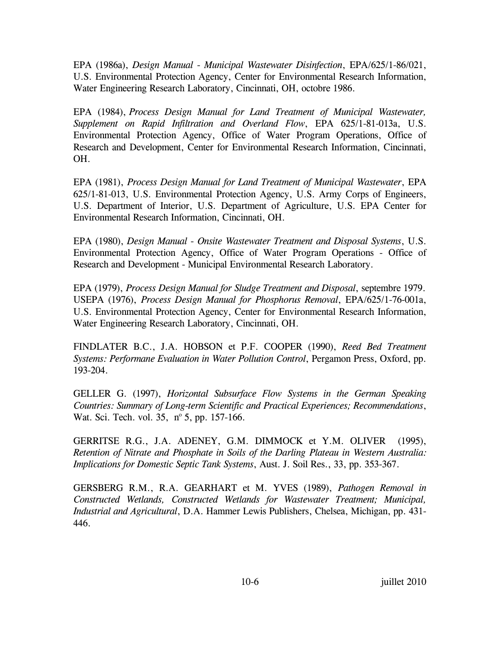EPA (1986a), *Design Manual - Municipal Wastewater Disinfection*, EPA/625/1-86/021, U.S. Environmental Protection Agency, Center for Environmental Research Information, Water Engineering Research Laboratory, Cincinnati, OH, octobre 1986.

EPA (1984), *Process Design Manual for Land Treatment of Municipal Wastewater, Supplement on Rapid Infiltration and Overland Flow*, EPA 625/1-81-013a, U.S. Environmental Protection Agency, Office of Water Program Operations, Office of Research and Development, Center for Environmental Research Information, Cincinnati, OH.

EPA (1981), *Process Design Manual for Land Treatment of Municipal Wastewater*, EPA 625/1-81-013, U.S. Environmental Protection Agency, U.S. Army Corps of Engineers, U.S. Department of Interior, U.S. Department of Agriculture, U.S. EPA Center for Environmental Research Information, Cincinnati, OH.

EPA (1980), *Design Manual - Onsite Wastewater Treatment and Disposal Systems*, U.S. Environmental Protection Agency, Office of Water Program Operations - Office of Research and Development - Municipal Environmental Research Laboratory.

EPA (1979), *Process Design Manual for Sludge Treatment and Disposal*, septembre 1979. USEPA (1976), *Process Design Manual for Phosphorus Removal*, EPA/625/1-76-001a, U.S. Environmental Protection Agency, Center for Environmental Research Information, Water Engineering Research Laboratory, Cincinnati, OH.

FINDLATER B.C., J.A. HOBSON et P.F. COOPER (1990), *Reed Bed Treatment Systems: Performane Evaluation in Water Pollution Control*, Pergamon Press, Oxford, pp. 193-204.

GELLER G. (1997), *Horizontal Subsurface Flow Systems in the German Speaking Countries: Summary of Long-term Scientific and Practical Experiences; Recommendations*, Wat. Sci. Tech. vol. 35, nº 5, pp. 157-166.

GERRITSE R.G., J.A. ADENEY, G.M. DIMMOCK et Y.M. OLIVER (1995), *Retention of Nitrate and Phosphate in Soils of the Darling Plateau in Western Australia: Implications for Domestic Septic Tank Systems*, Aust. J. Soil Res., 33, pp. 353-367.

GERSBERG R.M., R.A. GEARHART et M. YVES (1989), *Pathogen Removal in Constructed Wetlands, Constructed Wetlands for Wastewater Treatment; Municipal, Industrial and Agricultural*, D.A. Hammer Lewis Publishers, Chelsea, Michigan, pp. 431- 446.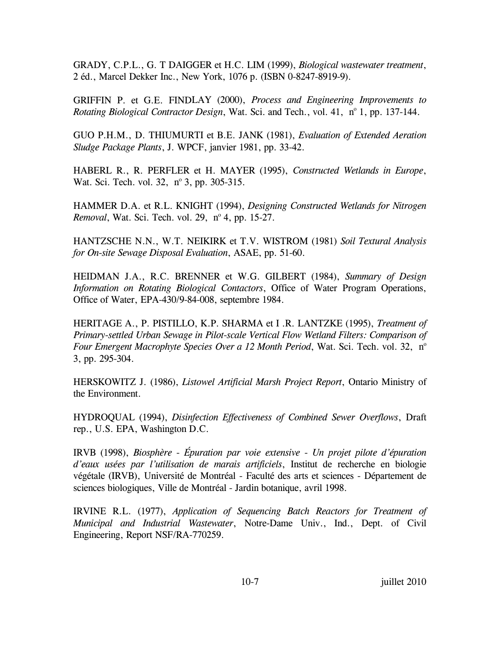GRADY, C.P.L., G. T DAIGGER et H.C. LIM (1999), *Biological wastewater treatment*, 2 éd., Marcel Dekker Inc., New York, 1076 p. (ISBN 0-8247-8919-9).

GRIFFIN P. et G.E. FINDLAY (2000), *Process and Engineering Improvements to Rotating Biological Contractor Design*, Wat. Sci. and Tech., vol. 41, nº 1, pp. 137-144.

GUO P.H.M., D. THIUMURTI et B.E. JANK (1981), *Evaluation of Extended Aeration Sludge Package Plants*, J. WPCF, janvier 1981, pp. 33-42.

HABERL R., R. PERFLER et H. MAYER (1995), *Constructed Wetlands in Europe*, Wat. Sci. Tech. vol. 32, nº 3, pp. 305-315.

HAMMER D.A. et R.L. KNIGHT (1994), *Designing Constructed Wetlands for Nitrogen Removal*, Wat. Sci. Tech. vol. 29, nº 4, pp. 15-27.

HANTZSCHE N.N., W.T. NEIKIRK et T.V. WISTROM (1981) *Soil Textural Analysis for On-site Sewage Disposal Evaluation*, ASAE, pp. 51-60.

HEIDMAN J.A., R.C. BRENNER et W.G. GILBERT (1984), *Summary of Design Information on Rotating Biological Contactors*, Office of Water Program Operations, Office of Water, EPA-430/9-84-008, septembre 1984.

HERITAGE A., P. PISTILLO, K.P. SHARMA et I .R. LANTZKE (1995), *Treatment of Primary-settled Urban Sewage in Pilot-scale Vertical Flow Wetland Filters: Comparison of Four Emergent Macrophyte Species Over a 12 Month Period*, Wat. Sci. Tech. vol. 32, n<sup>o</sup> 3, pp. 295-304.

HERSKOWITZ J. (1986), *Listowel Artificial Marsh Project Report*, Ontario Ministry of the Environment.

HYDROQUAL (1994), *Disinfection Effectiveness of Combined Sewer Overflows*, Draft rep., U.S. EPA, Washington D.C.

IRVB (1998), *Biosphère - Épuration par voie extensive - Un projet pilote d'épuration d'eaux usées par l'utilisation de marais artificiels*, Institut de recherche en biologie végétale (IRVB), Université de Montréal - Faculté des arts et sciences - Département de sciences biologiques, Ville de Montréal - Jardin botanique, avril 1998.

IRVINE R.L. (1977), *Application of Sequencing Batch Reactors for Treatment of Municipal and Industrial Wastewater*, Notre-Dame Univ., Ind., Dept. of Civil Engineering, Report NSF/RA-770259.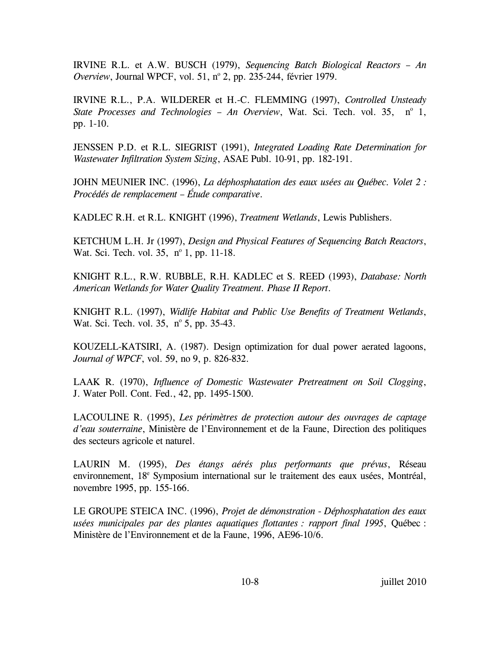IRVINE R.L. et A.W. BUSCH (1979), *Sequencing Batch Biological Reactors – An*  Overview, Journal WPCF, vol. 51, nº 2, pp. 235-244, février 1979.

IRVINE R.L., P.A. WILDERER et H.-C. FLEMMING (1997), *Controlled Unsteady*  State Processes and Technologies - An Overview, Wat. Sci. Tech. vol. 35, nº 1, pp. 1-10.

JENSSEN P.D. et R.L. SIEGRIST (1991), *Integrated Loading Rate Determination for Wastewater Infiltration System Sizing*, ASAE Publ. 10-91, pp. 182-191.

JOHN MEUNIER INC. (1996), *La déphosphatation des eaux usées au Québec. Volet 2 : Procédés de remplacement – Étude comparative*.

KADLEC R.H. et R.L. KNIGHT (1996), *Treatment Wetlands*, Lewis Publishers.

KETCHUM L.H. Jr (1997), *Design and Physical Features of Sequencing Batch Reactors*, Wat. Sci. Tech. vol. 35, nº 1, pp. 11-18.

KNIGHT R.L., R.W. RUBBLE, R.H. KADLEC et S. REED (1993), *Database: North American Wetlands for Water Quality Treatment. Phase II Report*.

KNIGHT R.L. (1997), *Widlife Habitat and Public Use Benefits of Treatment Wetlands*, Wat. Sci. Tech. vol. 35, nº 5, pp. 35-43.

KOUZELL-KATSIRI, A. (1987). Design optimization for dual power aerated lagoons, *Journal of WPCF*, vol. 59, no 9, p. 826-832.

LAAK R. (1970), *Influence of Domestic Wastewater Pretreatment on Soil Clogging*, J. Water Poll. Cont. Fed., 42, pp. 1495-1500.

LACOULINE R. (1995), *Les périmètres de protection autour des ouvrages de captage d'eau souterraine*, Ministère de l'Environnement et de la Faune, Direction des politiques des secteurs agricole et naturel.

LAURIN M. (1995), *Des étangs aérés plus performants que prévus*, Réseau environnement, 18<sup>e</sup> Symposium international sur le traitement des eaux usées, Montréal, novembre 1995, pp. 155-166.

LE GROUPE STEICA INC. (1996), *Projet de démonstration - Déphosphatation des eaux usées municipales par des plantes aquatiques flottantes : rapport final 1995*, Québec : Ministère de l'Environnement et de la Faune, 1996, AE96-10/6.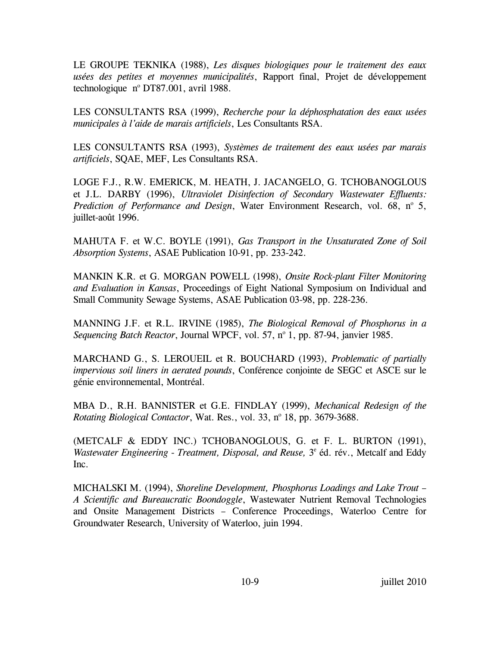LE GROUPE TEKNIKA (1988), *Les disques biologiques pour le traitement des eaux usées des petites et moyennes municipalités*, Rapport final, Projet de développement technologique  $n^{\circ}$  DT87.001, avril 1988.

LES CONSULTANTS RSA (1999), *Recherche pour la déphosphatation des eaux usées municipales à l'aide de marais artificiels*, Les Consultants RSA.

LES CONSULTANTS RSA (1993), *Systèmes de traitement des eaux usées par marais artificiels*, SQAE, MEF, Les Consultants RSA.

LOGE F.J., R.W. EMERICK, M. HEATH, J. JACANGELO, G. TCHOBANOGLOUS et J.L. DARBY (1996), *Ultraviolet Disinfection of Secondary Wastewater Effluents:*  Prediction of Performance and Design, Water Environment Research, vol. 68, nº 5, juillet-août 1996.

MAHUTA F. et W.C. BOYLE (1991), *Gas Transport in the Unsaturated Zone of Soil Absorption Systems*, ASAE Publication 10-91, pp. 233-242.

MANKIN K.R. et G. MORGAN POWELL (1998), *Onsite Rock-plant Filter Monitoring and Evaluation in Kansas*, Proceedings of Eight National Symposium on Individual and Small Community Sewage Systems, ASAE Publication 03-98, pp. 228-236.

MANNING J.F. et R.L. IRVINE (1985), *The Biological Removal of Phosphorus in a*  Sequencing Batch Reactor, Journal WPCF, vol. 57, nº 1, pp. 87-94, janvier 1985.

MARCHAND G., S. LEROUEIL et R. BOUCHARD (1993), *Problematic of partially impervious soil liners in aerated pounds*, Conférence conjointe de SEGC et ASCE sur le génie environnemental, Montréal.

MBA D., R.H. BANNISTER et G.E. FINDLAY (1999), *Mechanical Redesign of the*  Rotating Biological Contactor, Wat. Res., vol. 33, nº 18, pp. 3679-3688.

(METCALF & EDDY INC.) TCHOBANOGLOUS, G. et F. L. BURTON (1991), Wastewater Engineering - Treatment, Disposal, and Reuse, 3<sup>e</sup> éd. rév., Metcalf and Eddy Inc.

MICHALSKI M. (1994), *Shoreline Development, Phosphorus Loadings and Lake Trout – A Scientific and Bureaucratic Boondoggle*, Wastewater Nutrient Removal Technologies and Onsite Management Districts – Conference Proceedings, Waterloo Centre for Groundwater Research, University of Waterloo, juin 1994.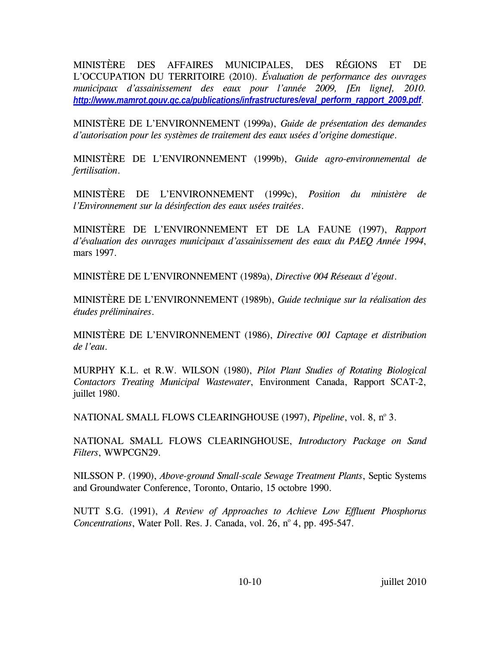MINISTÈRE DES AFFAIRES MUNICIPALES, DES RÉGIONS ET DE L'OCCUPATION DU TERRITOIRE (2010). *Évaluation de performance des ouvrages municipaux d'assainissement des eaux pour l'année 2009, [En ligne], 2010. [http://www.mamrot.gouv.qc.ca/publications/infrastructures/eval\\_perform\\_rapport\\_2009.pdf](http://www.mamrot.gouv.qc.ca/publications/infrastructures/eval_perform_rapport_2009.pdf).* 

MINISTÈRE DE L'ENVIRONNEMENT (1999a), *Guide de présentation des demandes d'autorisation pour les systèmes de traitement des eaux usées d'origine domestique*.

MINISTÈRE DE L'ENVIRONNEMENT (1999b), *Guide agro-environnemental de fertilisation*.

MINISTÈRE DE L'ENVIRONNEMENT (1999c), *Position du ministère de l'Environnement sur la désinfection des eaux usées traitées*.

MINISTÈRE DE L'ENVIRONNEMENT ET DE LA FAUNE (1997), *Rapport d'évaluation des ouvrages municipaux d'assainissement des eaux du PAEQ Année 1994*, mars 1997.

MINISTÈRE DE L'ENVIRONNEMENT (1989a), *Directive 004 Réseaux d'égout*.

MINISTÈRE DE L'ENVIRONNEMENT (1989b), *Guide technique sur la réalisation des études préliminaires*.

MINISTÈRE DE L'ENVIRONNEMENT (1986), *Directive 001 Captage et distribution de l'eau*.

MURPHY K.L. et R.W. WILSON (1980), *Pilot Plant Studies of Rotating Biological Contactors Treating Municipal Wastewater*, Environment Canada, Rapport SCAT-2, juillet 1980.

NATIONAL SMALL FLOWS CLEARINGHOUSE (1997), *Pipeline*, vol. 8, nº 3.

NATIONAL SMALL FLOWS CLEARINGHOUSE, *Introductory Package on Sand Filters*, WWPCGN29.

NILSSON P. (1990), *Above-ground Small-scale Sewage Treatment Plants*, Septic Systems and Groundwater Conference, Toronto, Ontario, 15 octobre 1990.

NUTT S.G. (1991), *A Review of Approaches to Achieve Low Effluent Phosphorus Concentrations*, Water Poll. Res. J. Canada, vol. 26, nº 4, pp. 495-547.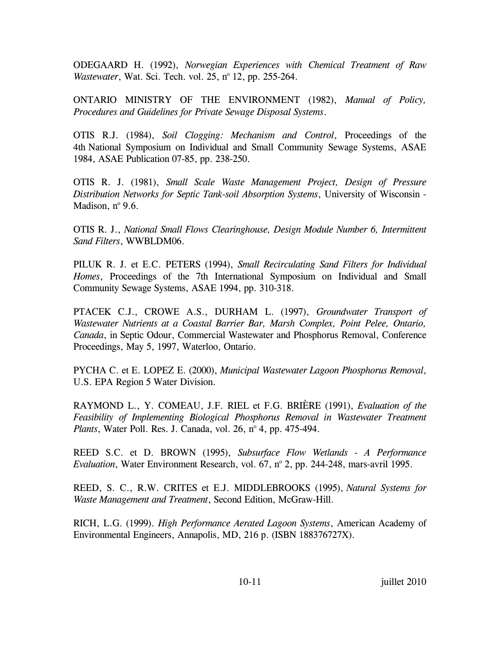ODEGAARD H. (1992), *Norwegian Experiences with Chemical Treatment of Raw*  Wastewater, Wat. Sci. Tech. vol. 25, nº 12, pp. 255-264.

ONTARIO MINISTRY OF THE ENVIRONMENT (1982), *Manual of Policy, Procedures and Guidelines for Private Sewage Disposal Systems*.

OTIS R.J. (1984), *Soil Clogging: Mechanism and Control*, Proceedings of the 4th National Symposium on Individual and Small Community Sewage Systems, ASAE 1984, ASAE Publication 07-85, pp. 238-250.

OTIS R. J. (1981), *Small Scale Waste Management Project, Design of Pressure Distribution Networks for Septic Tank-soil Absorption Systems*, University of Wisconsin - Madison,  $n^{\circ}$  9.6.

OTIS R. J., *National Small Flows Clearinghouse, Design Module Number 6, Intermittent Sand Filters*, WWBLDM06.

PILUK R. J. et E.C. PETERS (1994), *Small Recirculating Sand Filters for Individual Homes*, Proceedings of the 7th International Symposium on Individual and Small Community Sewage Systems, ASAE 1994, pp. 310-318.

PTACEK C.J., CROWE A.S., DURHAM L. (1997), *Groundwater Transport of Wastewater Nutrients at a Coastal Barrier Bar, Marsh Complex, Point Pelee, Ontario, Canada*, in Septic Odour, Commercial Wastewater and Phosphorus Removal, Conference Proceedings, May 5, 1997, Waterloo, Ontario.

PYCHA C. et E. LOPEZ E. (2000), *Municipal Wastewater Lagoon Phosphorus Removal*, U.S. EPA Region 5 Water Division.

RAYMOND L., Y. COMEAU, J.F. RIEL et F.G. BRIÈRE (1991), *Evaluation of the Feasibility of Implementing Biological Phosphorus Removal in Wastewater Treatment Plants*, Water Poll. Res. J. Canada, vol. 26, nº 4, pp. 475-494.

REED S.C. et D. BROWN (1995), *Subsurface Flow Wetlands - A Performance Evaluation*, Water Environment Research, vol. 67, nº 2, pp. 244-248, mars-avril 1995.

REED, S. C., R.W. CRITES et E.J. MIDDLEBROOKS (1995), *Natural Systems for Waste Management and Treatment*, Second Edition, McGraw-Hill.

RICH, L.G. (1999). *High Performance Aerated Lagoon Systems*, American Academy of Environmental Engineers, Annapolis, MD, 216 p. (ISBN 188376727X).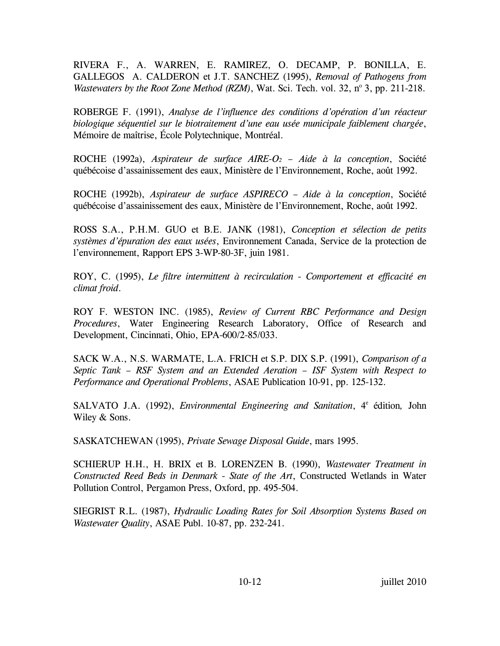RIVERA F., A. WARREN, E. RAMIREZ, O. DECAMP, P. BONILLA, E. GALLEGOS A. CALDERON et J.T. SANCHEZ (1995), *Removal of Pathogens from Wastewaters by the Root Zone Method (RZM)*, Wat. Sci. Tech. vol. 32, nº 3, pp. 211-218.

ROBERGE F. (1991), *Analyse de l'influence des conditions d'opération d'un réacteur biologique séquentiel sur le biotraitement d'une eau usée municipale faiblement chargée*, Mémoire de maîtrise, École Polytechnique, Montréal.

ROCHE (1992a), *Aspirateur de surface AIRE-O2 – Aide à la conception*, Société québécoise d'assainissement des eaux, Ministère de l'Environnement, Roche, août 1992.

ROCHE (1992b), *Aspirateur de surface ASPIRECO – Aide à la conception*, Société québécoise d'assainissement des eaux, Ministère de l'Environnement, Roche, août 1992.

ROSS S.A., P.H.M. GUO et B.E. JANK (1981), *Conception et sélection de petits systèmes d'épuration des eaux usées*, Environnement Canada, Service de la protection de l'environnement, Rapport EPS 3-WP-80-3F, juin 1981.

ROY, C. (1995), *Le filtre intermittent à recirculation - Comportement et efficacité en climat froid*.

ROY F. WESTON INC. (1985), *Review of Current RBC Performance and Design Procedures*, Water Engineering Research Laboratory, Office of Research and Development, Cincinnati, Ohio, EPA-600/2-85/033.

SACK W.A., N.S. WARMATE, L.A. FRICH et S.P. DIX S.P. (1991), *Comparison of a Septic Tank – RSF System and an Extended Aeration – ISF System with Respect to Performance and Operational Problems*, ASAE Publication 10-91, pp. 125-132.

SALVATO J.A. (1992), *Environmental Engineering and Sanitation*, 4<sup>e</sup> édition, John Wiley & Sons.

SASKATCHEWAN (1995), *Private Sewage Disposal Guide*, mars 1995.

SCHIERUP H.H., H. BRIX et B. LORENZEN B. (1990), *Wastewater Treatment in Constructed Reed Beds in Denmark - State of the Art*, Constructed Wetlands in Water Pollution Control, Pergamon Press, Oxford, pp. 495-504.

SIEGRIST R.L. (1987), *Hydraulic Loading Rates for Soil Absorption Systems Based on Wastewater Quality*, ASAE Publ. 10-87, pp. 232-241.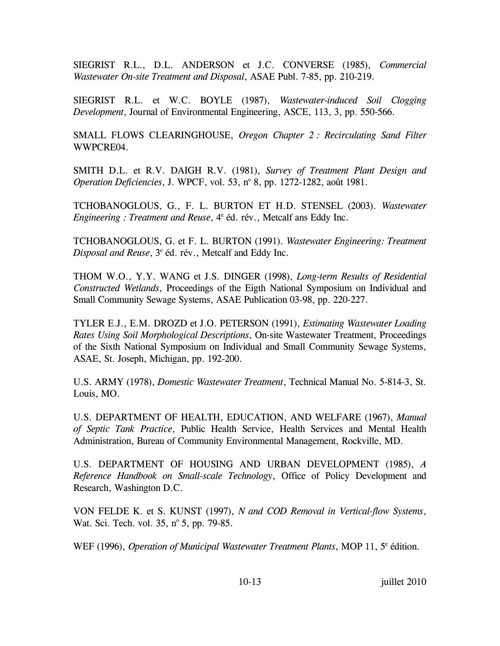SIEGRIST R.L., D.L. ANDERSON et J.C. CONVERSE (1985), *Commercial Wastewater On-site Treatment and Disposal*, ASAE Publ. 7-85, pp. 210-219.

SIEGRIST R.L. et W.C. BOYLE (1987), *Wastewater-induced Soil Clogging Development*, Journal of Environmental Engineering, ASCE, 113, 3, pp. 550-566.

SMALL FLOWS CLEARINGHOUSE, *Oregon Chapter 2 : Recirculating Sand Filter*  WWPCRE04.

SMITH D.L. et R.V. DAIGH R.V. (1981), *Survey of Treatment Plant Design and*  Operation Deficiencies, J. WPCF, vol. 53, nº 8, pp. 1272-1282, août 1981.

TCHOBANOGLOUS, G., F. L. BURTON ET H.D. STENSEL (2003). *Wastewater*  Engineering : Treatment and Reuse, <sup>4e</sup> éd. rév., Metcalf ans Eddy Inc.

TCHOBANOGLOUS, G. et F. L. BURTON (1991). *Wastewater Engineering: Treatment* Disposal and Reuse, 3<sup>e</sup> éd. rév., Metcalf and Eddy Inc.

THOM W.O., Y.Y. WANG et J.S. DINGER (1998), *Long-term Results of Residential Constructed Wetlands*, Proceedings of the Eigth National Symposium on Individual and Small Community Sewage Systems, ASAE Publication 03-98, pp. 220-227.

TYLER E.J., E.M. DROZD et J.O. PETERSON (1991), *Estimating Wastewater Loading Rates Using Soil Morphological Descriptions*, On-site Wastewater Treatment, Proceedings of the Sixth National Symposium on Individual and Small Community Sewage Systems, ASAE, St. Joseph, Michigan, pp. 192-200.

U.S. ARMY (1978), *Domestic Wastewater Treatment*, Technical Manual No. 5-814-3, St. Louis, MO.

U.S. DEPARTMENT OF HEALTH, EDUCATION, AND WELFARE (1967), *Manual of Septic Tank Practice*, Public Health Service, Health Services and Mental Health Administration, Bureau of Community Environmental Management, Rockville, MD.

U.S. DEPARTMENT OF HOUSING AND URBAN DEVELOPMENT (1985), *A Reference Handbook on Small-scale Technology*, Office of Policy Development and Research, Washington D.C.

VON FELDE K. et S. KUNST (1997), *N and COD Removal in Vertical-flow Systems*, Wat. Sci. Tech. vol. 35, nº 5, pp. 79-85.

WEF (1996), *Operation of Municipal Wastewater Treatment Plants*, MOP 11, 5<sup>e</sup> édition.